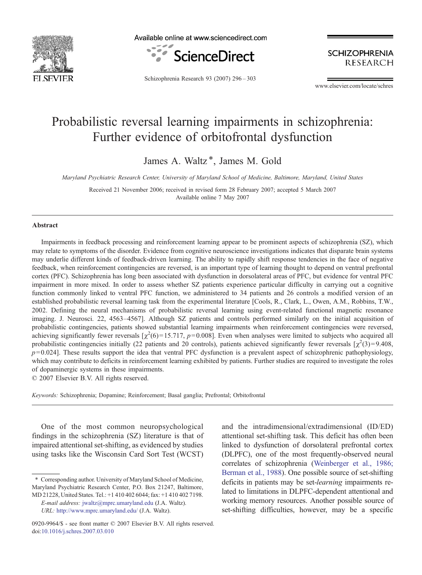

Available online at www.sciencedirect.com



**SCHIZOPHRENIA RESEARCH** 

Schizophrenia Research 93 (2007) 296–303

www.elsevier.com/locate/schres

# Probabilistic reversal learning impairments in schizophrenia: Further evidence of orbitofrontal dysfunction

James A. Waltz<sup>\*</sup>, James M. Gold

Maryland Psychiatric Research Center, University of Maryland School of Medicine, Baltimore, Maryland, United States

Received 21 November 2006; received in revised form 28 February 2007; accepted 5 March 2007 Available online 7 May 2007

#### Abstract

Impairments in feedback processing and reinforcement learning appear to be prominent aspects of schizophrenia (SZ), which may relate to symptoms of the disorder. Evidence from cognitive neuroscience investigations indicates that disparate brain systems may underlie different kinds of feedback-driven learning. The ability to rapidly shift response tendencies in the face of negative feedback, when reinforcement contingencies are reversed, is an important type of learning thought to depend on ventral prefrontal cortex (PFC). Schizophrenia has long been associated with dysfunction in dorsolateral areas of PFC, but evidence for ventral PFC impairment in more mixed. In order to assess whether SZ patients experience particular difficulty in carrying out a cognitive function commonly linked to ventral PFC function, we administered to 34 patients and 26 controls a modified version of an established probabilistic reversal learning task from the experimental literature [Cools, R., Clark, L., Owen, A.M., Robbins, T.W., 2002. Defining the neural mechanisms of probabilistic reversal learning using event-related functional magnetic resonance imaging. J. Neurosci. 22, 4563–4567]. Although SZ patients and controls performed similarly on the initial acquisition of probabilistic contingencies, patients showed substantial learning impairments when reinforcement contingencies were reversed, achieving significantly fewer reversals  $[\chi^2(6) = 15.717, p = 0.008]$ . Even when analyses were limited to subjects who acquired all probabilistic contingencies initially (22 patients and 20 controls), patients achieved significantly fewer reversals  $[\chi^2(3)=9.408]$  $p=0.024$ . These results support the idea that ventral PFC dysfunction is a prevalent aspect of schizophrenic pathophysiology, which may contribute to deficits in reinforcement learning exhibited by patients. Further studies are required to investigate the roles of dopaminergic systems in these impairments.

© 2007 Elsevier B.V. All rights reserved.

Keywords: Schizophrenia; Dopamine; Reinforcement; Basal ganglia; Prefrontal; Orbitofrontal

One of the most common neuropsychological findings in the schizophrenia (SZ) literature is that of impaired attentional set-shifting, as evidenced by studies using tasks like the Wisconsin Card Sort Test (WCST)

⁎ Corresponding author. University of Maryland School of Medicine, Maryland Psychiatric Research Center, P.O. Box 21247, Baltimore, MD 21228, United States. Tel.: +1 410 402 6044; fax: +1 410 402 7198.

E-mail address: jwaltz@mprc.umaryland.edu (J.A. Waltz). URL: http://www.mprc.umaryland.edu/ (J.A. Waltz).

and the intradimensional/extradimensional (ID/ED) attentional set-shifting task. This deficit has often been linked to dysfunction of dorsolateral prefrontal cortex (DLPFC), one of the most frequently-observed neural correlates of schizophrenia [\(Weinberger et al., 1986;](#page-7-0) [Berman et al., 1988](#page-7-0)). One possible source of set-shifting deficits in patients may be set-learning impairments related to limitations in DLPFC-dependent attentional and working memory resources. Another possible source of set-shifting difficulties, however, may be a specific

<sup>0920-9964/\$ -</sup> see front matter © 2007 Elsevier B.V. All rights reserved. doi[:10.1016/j.schres.2007.03.010](http://dx.doi.org/10.1016/j.schres.2007.03.010)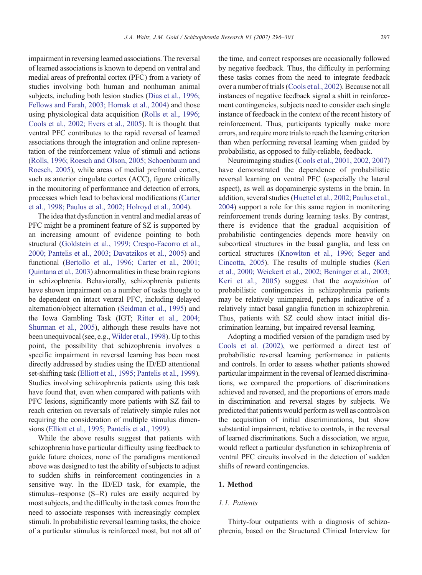impairment in reversing learned associations. The reversal of learned associations is known to depend on ventral and medial areas of prefrontal cortex (PFC) from a variety of studies involving both human and nonhuman animal subjects, including both lesion studies [\(Dias et al., 1996;](#page-6-0) [Fellows and Farah, 2003; Hornak et al., 2004\)](#page-6-0) and those using physiological data acquisition [\(Rolls et al., 1996;](#page-7-0) [Cools et al., 2002; Evers et al., 2005](#page-7-0)). It is thought that ventral PFC contributes to the rapid reversal of learned associations through the integration and online representation of the reinforcement value of stimuli and actions [\(Rolls, 1996; Roesch and Olson, 2005; Schoenbaum and](#page-7-0) [Roesch, 2005](#page-7-0)), while areas of medial prefrontal cortex, such as anterior cingulate cortex (ACC), figure critically in the monitoring of performance and detection of errors, processes which lead to behavioral modifications [\(Carter](#page-6-0) [et al., 1998; Paulus et al., 2002; Holroyd et al., 2004\)](#page-6-0).

The idea that dysfunction in ventral and medial areas of PFC might be a prominent feature of SZ is supported by an increasing amount of evidence pointing to both structural ([Goldstein et al., 1999; Crespo-Facorro et al.,](#page-6-0) [2000; Pantelis et al., 2003; Davatzikos et al., 2005\)](#page-6-0) and functional [\(Bertollo et al., 1996; Carter et al., 2001;](#page-6-0) [Quintana et al., 2003\)](#page-6-0) abnormalities in these brain regions in schizophrenia. Behaviorally, schizophrenia patients have shown impairment on a number of tasks thought to be dependent on intact ventral PFC, including delayed alternation/object alternation [\(Seidman et al., 1995](#page-7-0)) and the Iowa Gambling Task (IGT; [Ritter et al., 2004;](#page-7-0) [Shurman et al., 2005](#page-7-0)), although these results have not been unequivocal (see, e.g., [Wilder et al., 1998\)](#page-7-0). Up to this point, the possibility that schizophrenia involves a specific impairment in reversal learning has been most directly addressed by studies using the ID/ED attentional set-shifting task [\(Elliott et al., 1995; Pantelis et al., 1999](#page-6-0)). Studies involving schizophrenia patients using this task have found that, even when compared with patients with PFC lesions, significantly more patients with SZ fail to reach criterion on reversals of relatively simple rules not requiring the consideration of multiple stimulus dimensions ([Elliott et al., 1995; Pantelis et al., 1999\)](#page-6-0).

While the above results suggest that patients with schizophrenia have particular difficulty using feedback to guide future choices, none of the paradigms mentioned above was designed to test the ability of subjects to adjust to sudden shifts in reinforcement contingencies in a sensitive way. In the ID/ED task, for example, the stimulus–response (S–R) rules are easily acquired by most subjects, and the difficulty in the task comes from the need to associate responses with increasingly complex stimuli. In probabilistic reversal learning tasks, the choice of a particular stimulus is reinforced most, but not all of

the time, and correct responses are occasionally followed by negative feedback. Thus, the difficulty in performing these tasks comes from the need to integrate feedback over a number of trials ([Cools et al., 2002](#page-6-0)). Because not all instances of negative feedback signal a shift in reinforcement contingencies, subjects need to consider each single instance of feedback in the context of the recent history of reinforcement. Thus, participants typically make more errors, and require more trials to reach the learning criterion than when performing reversal learning when guided by probabilistic, as opposed to fully-reliable, feedback.

Neuroimaging studies [\(Cools et al., 2001, 2002, 2007\)](#page-6-0) have demonstrated the dependence of probabilistic reversal learning on ventral PFC (especially the lateral aspect), as well as dopaminergic systems in the brain. In addition, several studies ([Huettel et al., 2002; Paulus et al.,](#page-6-0) [2004\)](#page-6-0) support a role for this same region in monitoring reinforcement trends during learning tasks. By contrast, there is evidence that the gradual acquisition of probabilistic contingencies depends more heavily on subcortical structures in the basal ganglia, and less on cortical structures [\(Knowlton et al., 1996; Seger and](#page-6-0) [Cincotta, 2005](#page-6-0)). The results of multiple studies ([Keri](#page-6-0) [et al., 2000; Weickert et al., 2002; Beninger et al., 2003;](#page-6-0) [Keri et al., 2005](#page-6-0)) suggest that the acquisition of probabilistic contingencies in schizophrenia patients may be relatively unimpaired, perhaps indicative of a relatively intact basal ganglia function in schizophrenia. Thus, patients with SZ could show intact initial discrimination learning, but impaired reversal learning.

Adopting a modified version of the paradigm used by [Cools et al. \(2002\)](#page-6-0), we performed a direct test of probabilistic reversal learning performance in patients and controls. In order to assess whether patients showed particular impairment in the reversal of learned discriminations, we compared the proportions of discriminations achieved and reversed, and the proportions of errors made in discrimination and reversal stages by subjects. We predicted that patients would perform as well as controls on the acquisition of initial discriminations, but show substantial impairment, relative to controls, in the reversal of learned discriminations. Such a dissociation, we argue, would reflect a particular dysfunction in schizophrenia of ventral PFC circuits involved in the detection of sudden shifts of reward contingencies.

## 1. Method

## 1.1. Patients

Thirty-four outpatients with a diagnosis of schizophrenia, based on the Structured Clinical Interview for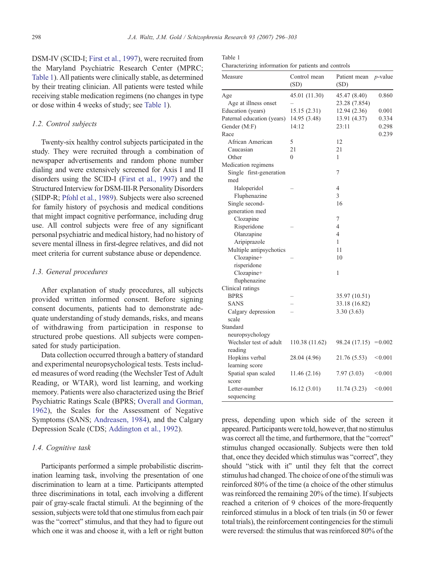DSM-IV (SCID-I; [First et al., 1997\)](#page-6-0), were recruited from the Maryland Psychiatric Research Center (MPRC; Table 1). All patients were clinically stable, as determined by their treating clinician. All patients were tested while receiving stable medication regimens (no changes in type or dose within 4 weeks of study; see Table 1).

#### 1.2. Control subjects

Twenty-six healthy control subjects participated in the study. They were recruited through a combination of newspaper advertisements and random phone number dialing and were extensively screened for Axis I and II disorders using the SCID-I [\(First et al., 1997](#page-6-0)) and the Structured Interview for DSM-III-R Personality Disorders (SIDP-R; [Pfohl et al., 1989](#page-7-0)). Subjects were also screened for family history of psychosis and medical conditions that might impact cognitive performance, including drug use. All control subjects were free of any significant personal psychiatric and medical history, had no history of severe mental illness in first-degree relatives, and did not meet criteria for current substance abuse or dependence.

## 1.3. General procedures

After explanation of study procedures, all subjects provided written informed consent. Before signing consent documents, patients had to demonstrate adequate understanding of study demands, risks, and means of withdrawing from participation in response to structured probe questions. All subjects were compensated for study participation.

Data collection occurred through a battery of standard and experimental neuropsychological tests. Tests included measures of word reading (the Wechsler Test of Adult Reading, or WTAR), word list learning, and working memory. Patients were also characterized using the Brief Psychiatric Ratings Scale (BPRS; [Overall and Gorman,](#page-6-0) [1962](#page-6-0)), the Scales for the Assessment of Negative Symptoms (SANS; [Andreasen, 1984](#page-6-0)), and the Calgary Depression Scale (CDS; [Addington et al., 1992](#page-6-0)).

#### 1.4. Cognitive task

Participants performed a simple probabilistic discrimination learning task, involving the presentation of one discrimination to learn at a time. Participants attempted three discriminations in total, each involving a different pair of gray-scale fractal stimuli. At the beginning of the session, subjects were told that one stimulus from each pair was the "correct" stimulus, and that they had to figure out which one it was and choose it, with a left or right button

| Table 1                                              |  |  |  |
|------------------------------------------------------|--|--|--|
| Characterizing information for patients and controls |  |  |  |

| Measure                        | Control mean<br>(SD) | Patient mean<br>(SD) | $p$ -value |
|--------------------------------|----------------------|----------------------|------------|
| Age                            | 45.01 (11.30)        | 45.47 (8.40)         | 0.860      |
| Age at illness onset           |                      | 23.28 (7.854)        |            |
| Education (years)              | 15.15 (2.31)         | 12.94 (2.36)         | 0.001      |
| Paternal education (years)     | 14.95 (3.48)         | 13.91 (4.37)         | 0.334      |
| Gender (M:F)                   | 14:12                | 23:11                | 0.298      |
| Race                           |                      |                      | 0.239      |
| African American               | 5                    | 12                   |            |
| Caucasian                      | 21                   | 21                   |            |
| Other                          | $\theta$             | $\mathbf{1}$         |            |
| Medication regimens            |                      |                      |            |
| Single first-generation<br>med |                      | 7                    |            |
| Haloperidol                    |                      | $\overline{4}$       |            |
| Fluphenazine                   |                      | 3                    |            |
| Single second-                 |                      | 16                   |            |
| generation med                 |                      |                      |            |
| Clozapine                      |                      | 7                    |            |
| Risperidone                    |                      | 4                    |            |
| Olanzapine                     |                      | $\overline{4}$       |            |
| Aripiprazole                   |                      | $\mathbf{1}$         |            |
| Multiple antipsychotics        |                      | 11                   |            |
| Clozapine+<br>risperidone      |                      | 10                   |            |
| Clozapine+<br>fluphenazine     |                      | 1                    |            |
| Clinical ratings               |                      |                      |            |
| <b>BPRS</b>                    |                      | 35.97 (10.51)        |            |
| SANS                           |                      | 33.18 (16.82)        |            |
| Calgary depression<br>scale    |                      | 3.30(3.63)           |            |
| Standard                       |                      |                      |            |
| neuropsychology                |                      |                      |            |
| Wechsler test of adult         | 110.38 (11.62)       | 98.24 (17.15)        | $= 0.002$  |
| reading<br>Hopkins verbal      | 28.04 (4.96)         | 21.76 (5.53)         | < 0.001    |
| learning score                 |                      |                      |            |
| Spatial span scaled<br>score   | 11.46 (2.16)         | 7.97(3.03)           | < 0.001    |
| Letter-number<br>sequencing    | 16.12 (3.01)         | 11.74(3.23)          | < 0.001    |

press, depending upon which side of the screen it appeared. Participants were told, however, that no stimulus was correct all the time, and furthermore, that the "correct" stimulus changed occasionally. Subjects were then told that, once they decided which stimulus was "correct", they should "stick with it" until they felt that the correct stimulus had changed. The choice of one of the stimuli was reinforced 80% of the time (a choice of the other stimulus was reinforced the remaining 20% of the time). If subjects reached a criterion of 9 choices of the more-frequently reinforced stimulus in a block of ten trials (in 50 or fewer total trials), the reinforcement contingencies for the stimuli were reversed: the stimulus that was reinforced 80% of the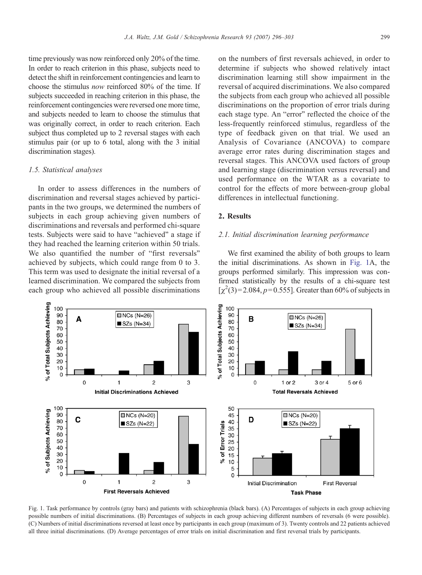<span id="page-3-0"></span>time previously was now reinforced only 20% of the time. In order to reach criterion in this phase, subjects need to detect the shift in reinforcement contingencies and learn to choose the stimulus now reinforced 80% of the time. If subjects succeeded in reaching criterion in this phase, the reinforcement contingencies were reversed one more time, and subjects needed to learn to choose the stimulus that was originally correct, in order to reach criterion. Each subject thus completed up to 2 reversal stages with each stimulus pair (or up to 6 total, along with the 3 initial discrimination stages).

### 1.5. Statistical analyses

In order to assess differences in the numbers of discrimination and reversal stages achieved by participants in the two groups, we determined the numbers of subjects in each group achieving given numbers of discriminations and reversals and performed chi-square tests. Subjects were said to have "achieved" a stage if they had reached the learning criterion within 50 trials. We also quantified the number of "first reversals" achieved by subjects, which could range from 0 to 3. This term was used to designate the initial reversal of a learned discrimination. We compared the subjects from each group who achieved all possible discriminations

on the numbers of first reversals achieved, in order to determine if subjects who showed relatively intact discrimination learning still show impairment in the reversal of acquired discriminations. We also compared the subjects from each group who achieved all possible discriminations on the proportion of error trials during each stage type. An "error" reflected the choice of the less-frequently reinforced stimulus, regardless of the type of feedback given on that trial. We used an Analysis of Covariance (ANCOVA) to compare average error rates during discrimination stages and reversal stages. This ANCOVA used factors of group and learning stage (discrimination versus reversal) and used performance on the WTAR as a covariate to control for the effects of more between-group global differences in intellectual functioning.

## 2. Results

## 2.1. Initial discrimination learning performance

We first examined the ability of both groups to learn the initial discriminations. As shown in Fig. 1A, the groups performed similarly. This impression was confirmed statistically by the results of a chi-square test  $[\chi^2(3) = 2.084, p = 0.555]$ . Greater than 60% of subjects in



Fig. 1. Task performance by controls (gray bars) and patients with schizophrenia (black bars). (A) Percentages of subjects in each group achieving possible numbers of initial discriminations. (B) Percentages of subjects in each group achieving different numbers of reversals (6 were possible). (C) Numbers of initial discriminations reversed at least once by participants in each group (maximum of 3). Twenty controls and 22 patients achieved all three initial discriminations. (D) Average percentages of error trials on initial discrimination and first reversal trials by participants.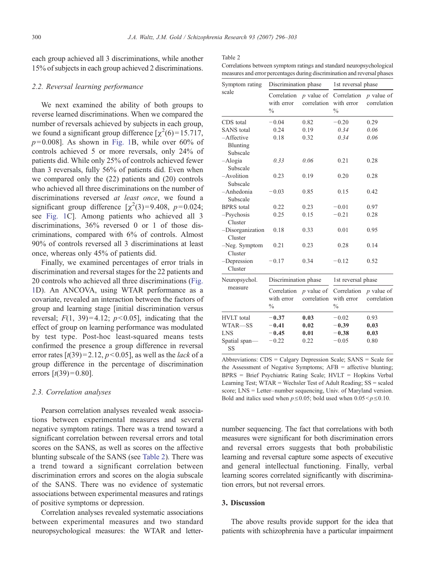each group achieved all 3 discriminations, while another 15% of subjects in each group achieved 2 discriminations.

## 2.2. Reversal learning performance

We next examined the ability of both groups to reverse learned discriminations. When we compared the number of reversals achieved by subjects in each group, we found a significant group difference  $[\chi^2(6) = 15.717]$ ,  $p=0.008$ ]. As shown in [Fig. 1B](#page-3-0), while over 60% of controls achieved 5 or more reversals, only 24% of patients did. While only 25% of controls achieved fewer than 3 reversals, fully 56% of patients did. Even when we compared only the (22) patients and (20) controls who achieved all three discriminations on the number of discriminations reversed at least once, we found a significant group difference  $[\chi^2(3)=9.408, p=0.024;$ see [Fig. 1](#page-3-0)C]. Among patients who achieved all 3 discriminations, 36% reversed 0 or 1 of those discriminations, compared with 6% of controls. Almost 90% of controls reversed all 3 discriminations at least once, whereas only 45% of patients did.

Finally, we examined percentages of error trials in discrimination and reversal stages for the 22 patients and 20 controls who achieved all three discriminations ([Fig.](#page-3-0) [1](#page-3-0)D). An ANCOVA, using WTAR performance as a covariate, revealed an interaction between the factors of group and learning stage [initial discrimination versus reversal;  $F(1, 39)=4.12$ ;  $p<0.05$ ], indicating that the effect of group on learning performance was modulated by test type. Post-hoc least-squared means tests confirmed the presence a group difference in reversal error rates  $[t(39)=2.12, p<0.05]$ , as well as the *lack* of a group difference in the percentage of discrimination errors  $[t(39)=0.80]$ .

#### 2.3. Correlation analyses

Pearson correlation analyses revealed weak associations between experimental measures and several negative symptom ratings. There was a trend toward a significant correlation between reversal errors and total scores on the SANS, as well as scores on the affective blunting subscale of the SANS (see Table 2). There was a trend toward a significant correlation between discrimination errors and scores on the alogia subscale of the SANS. There was no evidence of systematic associations between experimental measures and ratings of positive symptoms or depression.

Correlation analyses revealed systematic associations between experimental measures and two standard neuropsychological measures: the WTAR and letter-

| ۰,<br>٧ |  |
|---------|--|
|---------|--|

Correlations between symptom ratings and standard neuropsychological measures and error percentages during discrimination and reversal phases

| Symptom rating                        | Discrimination phase                       |                             | 1st reversal phase                         |                             |  |
|---------------------------------------|--------------------------------------------|-----------------------------|--------------------------------------------|-----------------------------|--|
| scale                                 | Correlation<br>with error<br>$\frac{0}{0}$ | $p$ value of<br>correlation | Correlation<br>with error<br>$\frac{0}{0}$ | $p$ value of<br>correlation |  |
| CDS total                             | $-0.04$                                    | 0.82                        | $-0.20$                                    | 0.29                        |  |
| <b>SANS</b> total                     | 0.24                                       | 0.19                        | 0.34                                       | 0.06                        |  |
| $-A$ ffective<br>Blunting<br>Subscale | 0.18                                       | 0.32                        | 0.34                                       | 0.06                        |  |
| $-Alogia$<br>Subscale                 | 0.33                                       | 0.06                        | 0.21                                       | 0.28                        |  |
| $-A$ volition<br>Subscale             | 0.23                                       | 0.19                        | 0.20                                       | 0.28                        |  |
| -Anhedonia<br>Subscale                | $-0.03$                                    | 0.85                        | 0.15                                       | 0.42                        |  |
| <b>BPRS</b> total                     | 0.22                                       | 0.23                        | $-0.01$                                    | 0.97                        |  |
| $-Psychosis$<br>Cluster               | 0.25                                       | 0.15                        | $-0.21$                                    | 0.28                        |  |
| -Disorganization<br>Cluster           | 0.18                                       | 0.33                        | 0.01                                       | 0.95                        |  |
| $-Neg.$ Symptom<br>Cluster            | 0.21                                       | 0.23                        | 0.28                                       | 0.14                        |  |
| -Depression<br>Cluster                | $-0.17$                                    | 0.34                        | $-0.12$                                    | 0.52                        |  |
| Neuropsychol.<br>measure              | Discrimination phase                       |                             | 1st reversal phase                         |                             |  |
|                                       | Correlation<br>with error<br>$\frac{0}{0}$ | $p$ value of<br>correlation | Correlation<br>with error<br>$\frac{0}{0}$ | $p$ value of<br>correlation |  |
| <b>HVLT</b> total                     | $-0.37$                                    | 0.03                        | $-0.02$                                    | 0.93                        |  |
| WTAR-SS                               | $-0.41$                                    | 0.02                        | $-0.39$                                    | 0.03                        |  |
| <b>LNS</b>                            | $-0.45$                                    | 0.01                        | $-0.38$                                    | 0.03                        |  |
| Spatial span-<br>SS                   | $-0.22$                                    | 0.22                        | $-0.05$                                    | 0.80                        |  |

Abbreviations: CDS = Calgary Depression Scale; SANS = Scale for the Assessment of Negative Symptoms; AFB = affective blunting; BPRS = Brief Psychiatric Rating Scale; HVLT = Hopkins Verbal Learning Test; WTAR = Wechsler Test of Adult Reading; SS = scaled score; LNS = Letter–number sequencing, Univ. of Maryland version. Bold and italics used when  $p \le 0.05$ ; bold used when  $0.05 < p \le 0.10$ .

number sequencing. The fact that correlations with both measures were significant for both discrimination errors and reversal errors suggests that both probabilistic learning and reversal capture some aspects of executive and general intellectual functioning. Finally, verbal learning scores correlated significantly with discrimination errors, but not reversal errors.

## 3. Discussion

The above results provide support for the idea that patients with schizophrenia have a particular impairment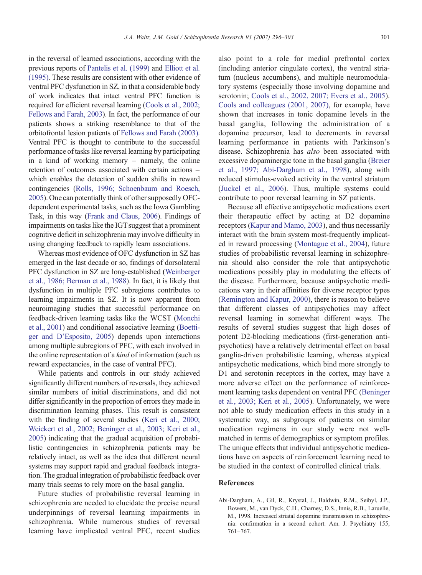in the reversal of learned associations, according with the previous reports of [Pantelis et al. \(1999\)](#page-6-0) and [Elliott et al.](#page-6-0) [\(1995\)](#page-6-0). These results are consistent with other evidence of ventral PFC dysfunction in SZ, in that a considerable body of work indicates that intact ventral PFC function is required for efficient reversal learning ([Cools et al., 2002;](#page-6-0) [Fellows and Farah, 2003](#page-6-0)). In fact, the performance of our patients shows a striking resemblance to that of the orbitofrontal lesion patients of [Fellows and Farah \(2003\).](#page-6-0) Ventral PFC is thought to contribute to the successful performance of tasks like reversal learning by participating in a kind of working memory – namely, the online retention of outcomes associated with certain actions – which enables the detection of sudden shifts in reward contingencies ([Rolls, 1996; Schoenbaum and Roesch,](#page-7-0) [2005](#page-7-0)). One can potentially think of other supposedly OFCdependent experimental tasks, such as the Iowa Gambling Task, in this way [\(Frank and Claus, 2006](#page-6-0)). Findings of impairments on tasks like the IGT suggest that a prominent cognitive deficit in schizophrenia may involve difficulty in using changing feedback to rapidly learn associations.

Whereas most evidence of OFC dysfunction in SZ has emerged in the last decade or so, findings of dorsolateral PFC dysfunction in SZ are long-established [\(Weinberger](#page-7-0) [et al., 1986; Berman et al., 1988](#page-7-0)). In fact, it is likely that dysfunction in multiple PFC subregions contributes to learning impairments in SZ. It is now apparent from neuroimaging studies that successful performance on feedback-driven learning tasks like the WCST ([Monchi](#page-6-0) [et al., 2001](#page-6-0)) and conditional associative learning [\(Boetti](#page-6-0)[ger and D'Esposito, 2005\)](#page-6-0) depends upon interactions among multiple subregions of PFC, with each involved in the online representation of a kind of information (such as reward expectancies, in the case of ventral PFC).

While patients and controls in our study achieved significantly different numbers of reversals, they achieved similar numbers of initial discriminations, and did not differ significantly in the proportion of errors they made in discrimination learning phases. This result is consistent with the finding of several studies [\(Keri et al., 2000;](#page-6-0) [Weickert et al., 2002; Beninger et al., 2003; Keri et al.,](#page-6-0) [2005](#page-6-0)) indicating that the gradual acquisition of probabilistic contingencies in schizophrenia patients may be relatively intact, as well as the idea that different neural systems may support rapid and gradual feedback integration. The gradual integration of probabilistic feedback over many trials seems to rely more on the basal ganglia.

Future studies of probabilistic reversal learning in schizophrenia are needed to elucidate the precise neural underpinnings of reversal learning impairments in schizophrenia. While numerous studies of reversal learning have implicated ventral PFC, recent studies

also point to a role for medial prefrontal cortex (including anterior cingulate cortex), the ventral striatum (nucleus accumbens), and multiple neuromodulatory systems (especially those involving dopamine and serotonin; [Cools et al., 2002, 2007; Evers et al., 2005](#page-6-0)). [Cools and colleagues \(2001, 2007\)](#page-6-0), for example, have shown that increases in tonic dopamine levels in the basal ganglia, following the administration of a dopamine precursor, lead to decrements in reversal learning performance in patients with Parkinson's disease. Schizophrenia has also been associated with excessive dopaminergic tone in the basal ganglia ([Breier](#page-6-0) [et al., 1997; Abi-Dargham et al., 1998\)](#page-6-0), along with reduced stimulus-evoked activity in the ventral striatum [\(Juckel et al., 2006](#page-6-0)). Thus, multiple systems could contribute to poor reversal learning in SZ patients.

Because all effective antipsychotic medications exert their therapeutic effect by acting at D2 dopamine receptors [\(Kapur and Mamo, 2003\)](#page-6-0), and thus necessarily interact with the brain system most-frequently implicated in reward processing [\(Montague et al., 2004](#page-6-0)), future studies of probabilistic reversal learning in schizophrenia should also consider the role that antipsychotic medications possibly play in modulating the effects of the disease. Furthermore, because antipsychotic medications vary in their affinities for diverse receptor types [\(Remington and Kapur, 2000\)](#page-7-0), there is reason to believe that different classes of antipsychotics may affect reversal learning in somewhat different ways. The results of several studies suggest that high doses of potent D2-blocking medications (first-generation antipsychotics) have a relatively detrimental effect on basal ganglia-driven probabilistic learning, whereas atypical antipsychotic medications, which bind more strongly to D1 and serotonin receptors in the cortex, may have a more adverse effect on the performance of reinforcement learning tasks dependent on ventral PFC ([Beninger](#page-6-0) [et al., 2003; Keri et al., 2005\)](#page-6-0). Unfortunately, we were not able to study medication effects in this study in a systematic way, as subgroups of patients on similar medication regimens in our study were not wellmatched in terms of demographics or symptom profiles. The unique effects that individual antipsychotic medications have on aspects of reinforcement learning need to be studied in the context of controlled clinical trials.

## References

Abi-Dargham, A., Gil, R., Krystal, J., Baldwin, R.M., Seibyl, J.P., Bowers, M., van Dyck, C.H., Charney, D.S., Innis, R.B., Laruelle, M., 1998. Increased striatal dopamine transmission in schizophrenia: confirmation in a second cohort. Am. J. Psychiatry 155, 761–767.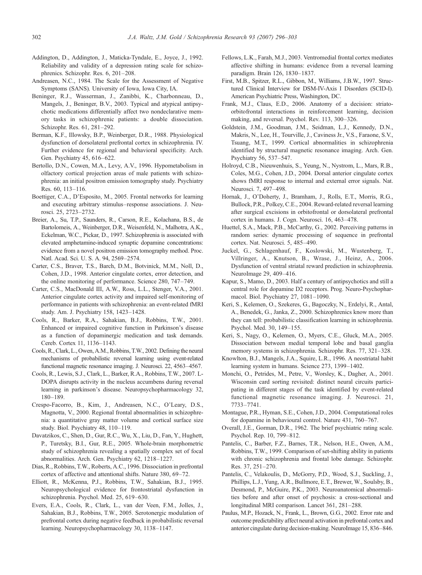- <span id="page-6-0"></span>Addington, D., Addington, J., Maticka-Tyndale, E., Joyce, J., 1992. Reliability and validity of a depression rating scale for schizophrenics. Schizophr. Res. 6, 201–208.
- Andreasen, N.C., 1984. The Scale for the Assessment of Negative Symptoms (SANS). University of Iowa, Iowa City, IA.
- Beninger, R.J., Wasserman, J., Zanibbi, K., Charbonneau, D., Mangels, J., Beninger, B.V., 2003. Typical and atypical antipsychotic medications differentially affect two nondeclarative memory tasks in schizophrenic patients: a double dissociation. Schizophr. Res. 61, 281–292.
- Berman, K.F., Illowsky, B.P., Weinberger, D.R., 1988. Physiological dysfunction of dorsolateral prefrontal cortex in schizophrenia. IV. Further evidence for regional and behavioral specificity. Arch. Gen. Psychiatry 45, 616–622.
- Bertollo, D.N., Cowen, M.A., Levy, A.V., 1996. Hypometabolism in olfactory cortical projection areas of male patients with schizophrenia: an initial positron emission tomography study. Psychiatry Res. 60, 113–116.
- Boettiger, C.A., D'Esposito, M., 2005. Frontal networks for learning and executing arbitrary stimulus–response associations. J. Neurosci. 25, 2723–2732.
- Breier, A., Su, T.P., Saunders, R., Carson, R.E., Kolachana, B.S., de Bartolomeis, A., Weinberger, D.R., Weisenfeld, N., Malhotra, A.K., Eckelman, W.C., Pickar, D., 1997. Schizophrenia is associated with elevated amphetamine-induced synaptic dopamine concentrations: evidence from a novel positron emission tomography method. Proc. Natl. Acad. Sci. U. S. A. 94, 2569–2574.
- Carter, C.S., Braver, T.S., Barch, D.M., Botvinick, M.M., Noll, D., Cohen, J.D., 1998. Anterior cingulate cortex, error detection, and the online monitoring of performance. Science 280, 747–749.
- Carter, C.S., MacDonald III, A.W., Ross, L.L., Stenger, V.A., 2001. Anterior cingulate cortex activity and impaired self-monitoring of performance in patients with schizophrenia: an event-related fMRI study. Am. J. Psychiatry 158, 1423–1428.
- Cools, R., Barker, R.A., Sahakian, B.J., Robbins, T.W., 2001. Enhanced or impaired cognitive function in Parkinson's disease as a function of dopaminergic medication and task demands. Cereb. Cortex 11, 1136–1143.
- Cools, R., Clark, L., Owen, A.M., Robbins, T.W., 2002. Defining the neural mechanisms of probabilistic reversal learning using event-related functional magnetic resonance imaging. J. Neurosci. 22, 4563–4567.
- Cools, R., Lewis, S.J., Clark, L., Barker, R.A., Robbins, T.W., 2007. L-DOPA disrupts activity in the nucleus accumbens during reversal learning in parkinson's disease. Neuropsychopharmacology 32, 180–189.
- Crespo-Facorro, B., Kim, J., Andreasen, N.C., O'Leary, D.S., Magnotta, V., 2000. Regional frontal abnormalities in schizophrenia: a quantitative gray matter volume and cortical surface size study. Biol. Psychiatry 48, 110–119.
- Davatzikos, C., Shen, D., Gur, R.C., Wu, X., Liu, D., Fan, Y., Hughett, P., Turetsky, B.I., Gur, R.E., 2005. Whole-brain morphometric study of schizophrenia revealing a spatially complex set of focal abnormalities. Arch. Gen. Psychiatry 62, 1218–1227.
- Dias, R., Robbins, T.W., Roberts, A.C., 1996. Dissociation in prefrontal cortex of affective and attentional shifts. Nature 380, 69–72.
- Elliott, R., McKenna, P.J., Robbins, T.W., Sahakian, B.J., 1995. Neuropsychological evidence for frontostriatal dysfunction in schizophrenia. Psychol. Med. 25, 619–630.
- Evers, E.A., Cools, R., Clark, L., van der Veen, F.M., Jolles, J., Sahakian, B.J., Robbins, T.W., 2005. Serotonergic modulation of prefrontal cortex during negative feedback in probabilistic reversal learning. Neuropsychopharmacology 30, 1138–1147.
- Fellows, L.K., Farah, M.J., 2003. Ventromedial frontal cortex mediates affective shifting in humans: evidence from a reversal learning paradigm. Brain 126, 1830–1837.
- First, M.B., Spitzer, R.L., Gibbon, M., Williams, J.B.W., 1997. Structured Clinical Interview for DSM-IV-Axis I Disorders (SCID-I). American Psychiatric Press, Washington, DC.
- Frank, M.J., Claus, E.D., 2006. Anatomy of a decision: striatoorbitofrontal interactions in reinforcement learning, decision making, and reversal. Psychol. Rev. 113, 300–326.
- Goldstein, J.M., Goodman, J.M., Seidman, L.J., Kennedy, D.N., Makris, N., Lee, H., Tourville, J., Caviness Jr., V.S., Faraone, S.V., Tsuang, M.T., 1999. Cortical abnormalities in schizophrenia identified by structural magnetic resonance imaging. Arch. Gen. Psychiatry 56, 537–547.
- Holroyd, C.B., Nieuwenhuis, S., Yeung, N., Nystrom, L., Mars, R.B., Coles, M.G., Cohen, J.D., 2004. Dorsal anterior cingulate cortex shows fMRI response to internal and external error signals. Nat. Neurosci. 7, 497–498.
- Hornak, J., O'Doherty, J., Bramham, J., Rolls, E.T., Morris, R.G., Bullock, P.R., Polkey, C.E., 2004. Reward-related reversal learning after surgical excisions in orbitofrontal or dorsolateral prefrontal cortex in humans. J. Cogn. Neurosci. 16, 463–478.
- Huettel, S.A., Mack, P.B., McCarthy, G., 2002. Perceiving patterns in random series: dynamic processing of sequence in prefrontal cortex. Nat. Neurosci. 5, 485–490.
- Juckel, G., Schlagenhauf, F., Koslowski, M., Wustenberg, T., Villringer, A., Knutson, B., Wrase, J., Heinz, A., 2006. Dysfunction of ventral striatal reward prediction in schizophrenia. NeuroImage 29, 409–416.
- Kapur, S., Mamo, D., 2003. Half a century of antipsychotics and still a central role for dopamine D2 receptors. Prog. Neuro-Psychopharmacol. Biol. Psychiatry 27, 1081–1090.
- Keri, S., Kelemen, O., Szekeres, G., Bagoczky, N., Erdelyi, R., Antal, A., Benedek, G., Janka, Z., 2000. Schizophrenics know more than they can tell: probabilistic classification learning in schizophrenia. Psychol. Med. 30, 149–155.
- Keri, S., Nagy, O., Kelemen, O., Myers, C.E., Gluck, M.A., 2005. Dissociation between medial temporal lobe and basal ganglia memory systems in schizophrenia. Schizophr. Res. 77, 321–328.
- Knowlton, B.J., Mangels, J.A., Squire, L.R., 1996. A neostriatal habit learning system in humans. Science 273, 1399–1402.
- Monchi, O., Petrides, M., Petre, V., Worsley, K., Dagher, A., 2001. Wisconsin card sorting revisited: distinct neural circuits participating in different stages of the task identified by event-related functional magnetic resonance imaging. J. Neurosci. 21, 7733–7741.
- Montague, P.R., Hyman, S.E., Cohen, J.D., 2004. Computational roles for dopamine in behavioural control. Nature 431, 760–767.
- Overall, J.E., Gorman, D.R., 1962. The brief psychiatric rating scale. Psychol. Rep. 10, 799–812.
- Pantelis, C., Barber, F.Z., Barnes, T.R., Nelson, H.E., Owen, A.M., Robbins, T.W., 1999. Comparison of set-shifting ability in patients with chronic schizophrenia and frontal lobe damage. Schizophr. Res. 37, 251–270.
- Pantelis, C., Velakoulis, D., McGorry, P.D., Wood, S.J., Suckling, J., Phillips, L.J., Yung, A.R., Bullmore, E.T., Brewer, W., Soulsby, B., Desmond, P., McGuire, P.K., 2003. Neuroanatomical abnormalities before and after onset of psychosis: a cross-sectional and longitudinal MRI comparison. Lancet 361, 281–288.
- Paulus, M.P., Hozack, N., Frank, L., Brown, G.G., 2002. Error rate and outcome predictability affect neural activation in prefrontal cortex and anterior cingulate during decision-making. NeuroImage 15, 836–846.